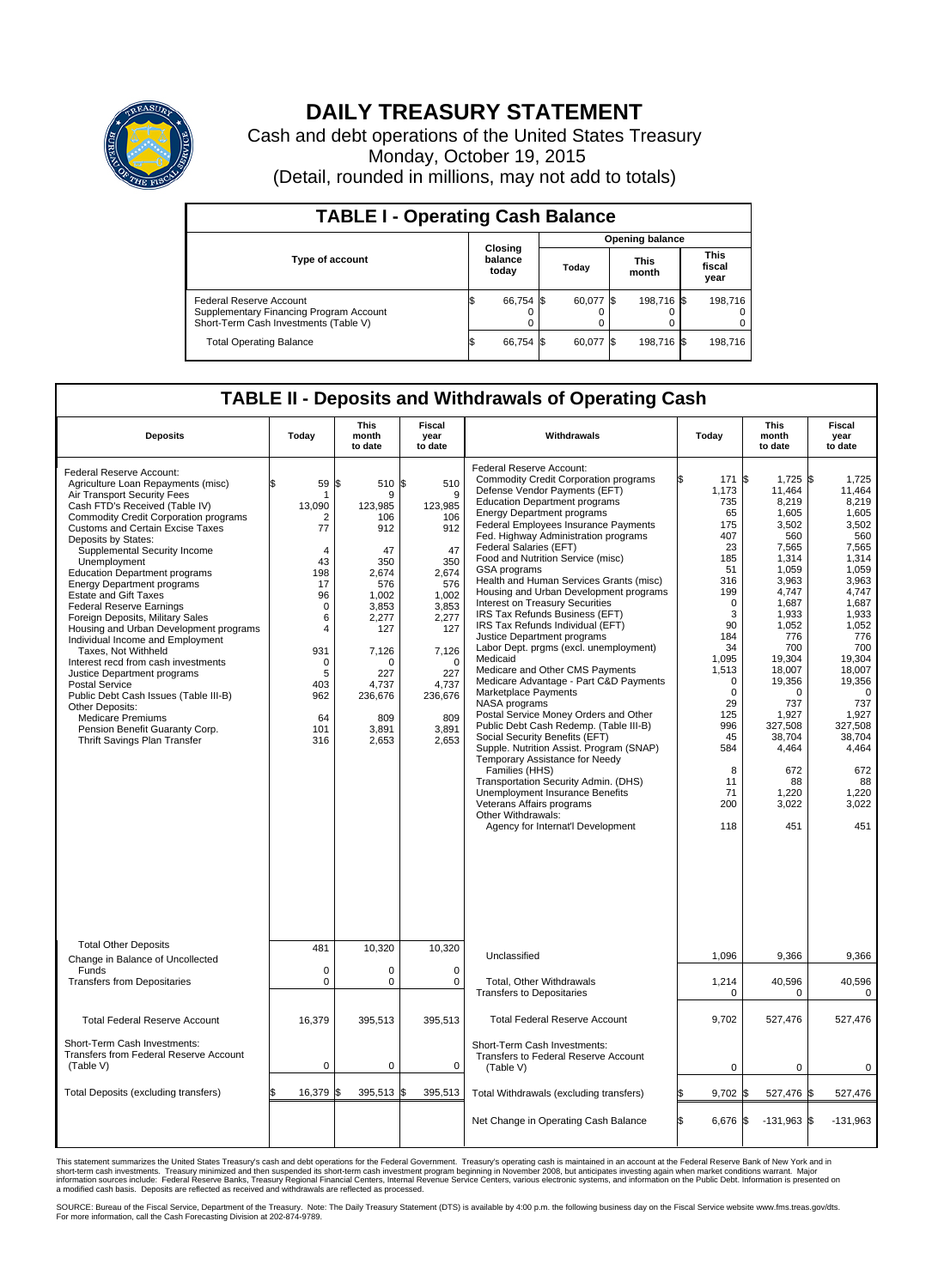

## **DAILY TREASURY STATEMENT**

Cash and debt operations of the United States Treasury Monday, October 19, 2015 (Detail, rounded in millions, may not add to totals)

| <b>TABLE I - Operating Cash Balance</b>                                                                     |                             |           |       |                        |                      |            |                               |         |  |  |  |
|-------------------------------------------------------------------------------------------------------------|-----------------------------|-----------|-------|------------------------|----------------------|------------|-------------------------------|---------|--|--|--|
|                                                                                                             |                             |           |       | <b>Opening balance</b> |                      |            |                               |         |  |  |  |
| <b>Type of account</b>                                                                                      | Closing<br>balance<br>today |           | Today |                        | <b>This</b><br>month |            | <b>This</b><br>fiscal<br>year |         |  |  |  |
| Federal Reserve Account<br>Supplementary Financing Program Account<br>Short-Term Cash Investments (Table V) |                             | 66.754 \$ |       | 60.077 \$              |                      | 198.716 \$ |                               | 198.716 |  |  |  |
| <b>Total Operating Balance</b>                                                                              |                             | 66,754 \$ |       | 60,077 \$              |                      | 198,716 \$ |                               | 198,716 |  |  |  |

## **TABLE II - Deposits and Withdrawals of Operating Cash**

| <b>Deposits</b>                                                                                                                                                                                                                                                                                                                                                                                                                                                                                                                                                                                                                                                                                                                                                                                                                                     | Today                                                                                                                                                   | This<br>month<br>to date                                                                                                                                                    | Fiscal<br>year<br>to date                                                                                                                                                 | Withdrawals                                                                                                                                                                                                                                                                                                                                                                                                                                                                                                                                                                                                                                                                                                                                                                                                                                                                                                                                                                                                                                                                                                                                                   | Today                                                                                                                                                                                                                 | <b>This</b><br>month<br>to date                                                                                                                                                                                                                                                   | Fiscal<br>year<br>to date                                                                                                                                                                                                                                             |
|-----------------------------------------------------------------------------------------------------------------------------------------------------------------------------------------------------------------------------------------------------------------------------------------------------------------------------------------------------------------------------------------------------------------------------------------------------------------------------------------------------------------------------------------------------------------------------------------------------------------------------------------------------------------------------------------------------------------------------------------------------------------------------------------------------------------------------------------------------|---------------------------------------------------------------------------------------------------------------------------------------------------------|-----------------------------------------------------------------------------------------------------------------------------------------------------------------------------|---------------------------------------------------------------------------------------------------------------------------------------------------------------------------|---------------------------------------------------------------------------------------------------------------------------------------------------------------------------------------------------------------------------------------------------------------------------------------------------------------------------------------------------------------------------------------------------------------------------------------------------------------------------------------------------------------------------------------------------------------------------------------------------------------------------------------------------------------------------------------------------------------------------------------------------------------------------------------------------------------------------------------------------------------------------------------------------------------------------------------------------------------------------------------------------------------------------------------------------------------------------------------------------------------------------------------------------------------|-----------------------------------------------------------------------------------------------------------------------------------------------------------------------------------------------------------------------|-----------------------------------------------------------------------------------------------------------------------------------------------------------------------------------------------------------------------------------------------------------------------------------|-----------------------------------------------------------------------------------------------------------------------------------------------------------------------------------------------------------------------------------------------------------------------|
| Federal Reserve Account:<br>Agriculture Loan Repayments (misc)<br>Air Transport Security Fees<br>Cash FTD's Received (Table IV)<br><b>Commodity Credit Corporation programs</b><br><b>Customs and Certain Excise Taxes</b><br>Deposits by States:<br>Supplemental Security Income<br>Unemployment<br><b>Education Department programs</b><br><b>Energy Department programs</b><br><b>Estate and Gift Taxes</b><br><b>Federal Reserve Earnings</b><br>Foreign Deposits, Military Sales<br>Housing and Urban Development programs<br>Individual Income and Employment<br>Taxes. Not Withheld<br>Interest recd from cash investments<br>Justice Department programs<br><b>Postal Service</b><br>Public Debt Cash Issues (Table III-B)<br>Other Deposits:<br><b>Medicare Premiums</b><br>Pension Benefit Guaranty Corp.<br>Thrift Savings Plan Transfer | \$<br>59<br>-1<br>13,090<br>2<br>77<br>4<br>43<br>198<br>17<br>96<br>$\mathbf 0$<br>6<br>4<br>931<br>$\mathbf 0$<br>5<br>403<br>962<br>64<br>101<br>316 | 510 \$<br>\$<br>9<br>123,985<br>106<br>912<br>47<br>350<br>2,674<br>576<br>1,002<br>3,853<br>2.277<br>127<br>7,126<br>O<br>227<br>4.737<br>236,676<br>809<br>3,891<br>2,653 | 510<br>9<br>123,985<br>106<br>912<br>47<br>350<br>2,674<br>576<br>1,002<br>3,853<br>2,277<br>127<br>7,126<br>$\Omega$<br>227<br>4,737<br>236,676<br>809<br>3,891<br>2,653 | Federal Reserve Account:<br><b>Commodity Credit Corporation programs</b><br>Defense Vendor Payments (EFT)<br><b>Education Department programs</b><br><b>Energy Department programs</b><br><b>Federal Employees Insurance Payments</b><br>Fed. Highway Administration programs<br>Federal Salaries (EFT)<br>Food and Nutrition Service (misc)<br>GSA programs<br>Health and Human Services Grants (misc)<br>Housing and Urban Development programs<br>Interest on Treasury Securities<br>IRS Tax Refunds Business (EFT)<br>IRS Tax Refunds Individual (EFT)<br>Justice Department programs<br>Labor Dept. prgms (excl. unemployment)<br>Medicaid<br>Medicare and Other CMS Payments<br>Medicare Advantage - Part C&D Payments<br>Marketplace Payments<br>NASA programs<br>Postal Service Money Orders and Other<br>Public Debt Cash Redemp. (Table III-B)<br>Social Security Benefits (EFT)<br>Supple. Nutrition Assist. Program (SNAP)<br>Temporary Assistance for Needy<br>Families (HHS)<br>Transportation Security Admin. (DHS)<br>Unemployment Insurance Benefits<br>Veterans Affairs programs<br>Other Withdrawals:<br>Agency for Internat'l Development | 171<br>1,173<br>735<br>65<br>175<br>407<br>23<br>185<br>51<br>316<br>199<br>$\mathbf 0$<br>3<br>90<br>184<br>34<br>1,095<br>1,513<br>0<br>$\mathbf 0$<br>29<br>125<br>996<br>45<br>584<br>8<br>11<br>71<br>200<br>118 | $1,725$ \$<br>l\$<br>11,464<br>8,219<br>1,605<br>3,502<br>560<br>7.565<br>1,314<br>1.059<br>3,963<br>4,747<br>1,687<br>1,933<br>1,052<br>776<br>700<br>19,304<br>18,007<br>19,356<br>$\Omega$<br>737<br>1,927<br>327,508<br>38,704<br>4,464<br>672<br>88<br>1,220<br>3,022<br>451 | 1,725<br>11,464<br>8.219<br>1,605<br>3,502<br>560<br>7.565<br>1,314<br>1,059<br>3,963<br>4,747<br>1,687<br>1,933<br>1,052<br>776<br>700<br>19,304<br>18.007<br>19,356<br>$\Omega$<br>737<br>1,927<br>327.508<br>38,704<br>4,464<br>672<br>88<br>1,220<br>3.022<br>451 |
| <b>Total Other Deposits</b>                                                                                                                                                                                                                                                                                                                                                                                                                                                                                                                                                                                                                                                                                                                                                                                                                         | 481                                                                                                                                                     | 10,320                                                                                                                                                                      | 10,320                                                                                                                                                                    | Unclassified                                                                                                                                                                                                                                                                                                                                                                                                                                                                                                                                                                                                                                                                                                                                                                                                                                                                                                                                                                                                                                                                                                                                                  | 1,096                                                                                                                                                                                                                 | 9,366                                                                                                                                                                                                                                                                             | 9,366                                                                                                                                                                                                                                                                 |
| Change in Balance of Uncollected<br>Funds<br><b>Transfers from Depositaries</b>                                                                                                                                                                                                                                                                                                                                                                                                                                                                                                                                                                                                                                                                                                                                                                     | $\mathbf 0$<br>0                                                                                                                                        | 0<br>0                                                                                                                                                                      | $\Omega$<br>0                                                                                                                                                             | Total, Other Withdrawals<br><b>Transfers to Depositaries</b>                                                                                                                                                                                                                                                                                                                                                                                                                                                                                                                                                                                                                                                                                                                                                                                                                                                                                                                                                                                                                                                                                                  | 1,214<br>$\mathbf 0$                                                                                                                                                                                                  | 40,596<br>0                                                                                                                                                                                                                                                                       | 40,596<br>0                                                                                                                                                                                                                                                           |
| <b>Total Federal Reserve Account</b>                                                                                                                                                                                                                                                                                                                                                                                                                                                                                                                                                                                                                                                                                                                                                                                                                | 16,379                                                                                                                                                  | 395,513                                                                                                                                                                     | 395,513                                                                                                                                                                   | <b>Total Federal Reserve Account</b>                                                                                                                                                                                                                                                                                                                                                                                                                                                                                                                                                                                                                                                                                                                                                                                                                                                                                                                                                                                                                                                                                                                          | 9,702                                                                                                                                                                                                                 | 527,476                                                                                                                                                                                                                                                                           | 527,476                                                                                                                                                                                                                                                               |
| Short-Term Cash Investments:<br>Transfers from Federal Reserve Account<br>(Table V)                                                                                                                                                                                                                                                                                                                                                                                                                                                                                                                                                                                                                                                                                                                                                                 | $\pmb{0}$                                                                                                                                               | 0                                                                                                                                                                           | $\mathbf 0$                                                                                                                                                               | Short-Term Cash Investments:<br>Transfers to Federal Reserve Account<br>(Table V)                                                                                                                                                                                                                                                                                                                                                                                                                                                                                                                                                                                                                                                                                                                                                                                                                                                                                                                                                                                                                                                                             | $\mathbf 0$                                                                                                                                                                                                           | 0                                                                                                                                                                                                                                                                                 | $\mathbf 0$                                                                                                                                                                                                                                                           |
| Total Deposits (excluding transfers)                                                                                                                                                                                                                                                                                                                                                                                                                                                                                                                                                                                                                                                                                                                                                                                                                | 16,379<br>\$                                                                                                                                            | 395,513<br>ß.                                                                                                                                                               | \$<br>395,513                                                                                                                                                             | Total Withdrawals (excluding transfers)                                                                                                                                                                                                                                                                                                                                                                                                                                                                                                                                                                                                                                                                                                                                                                                                                                                                                                                                                                                                                                                                                                                       | $9,702$ \$<br>\$                                                                                                                                                                                                      | 527,476 \$                                                                                                                                                                                                                                                                        | 527,476                                                                                                                                                                                                                                                               |
|                                                                                                                                                                                                                                                                                                                                                                                                                                                                                                                                                                                                                                                                                                                                                                                                                                                     |                                                                                                                                                         |                                                                                                                                                                             |                                                                                                                                                                           | Net Change in Operating Cash Balance                                                                                                                                                                                                                                                                                                                                                                                                                                                                                                                                                                                                                                                                                                                                                                                                                                                                                                                                                                                                                                                                                                                          | Ŝ.<br>6,676 \$                                                                                                                                                                                                        | $-131,963$ \$                                                                                                                                                                                                                                                                     | $-131,963$                                                                                                                                                                                                                                                            |

This statement summarizes the United States Treasury's cash and debt operations for the Federal Government. Treasury's operating cash is maintained in an account at the Federal Reserve Bank of New York and in<br>short-term ca

SOURCE: Bureau of the Fiscal Service, Department of the Treasury. Note: The Daily Treasury Statement (DTS) is available by 4:00 p.m. the following business day on the Fiscal Service website www.fms.treas.gov/dts.<br>For more